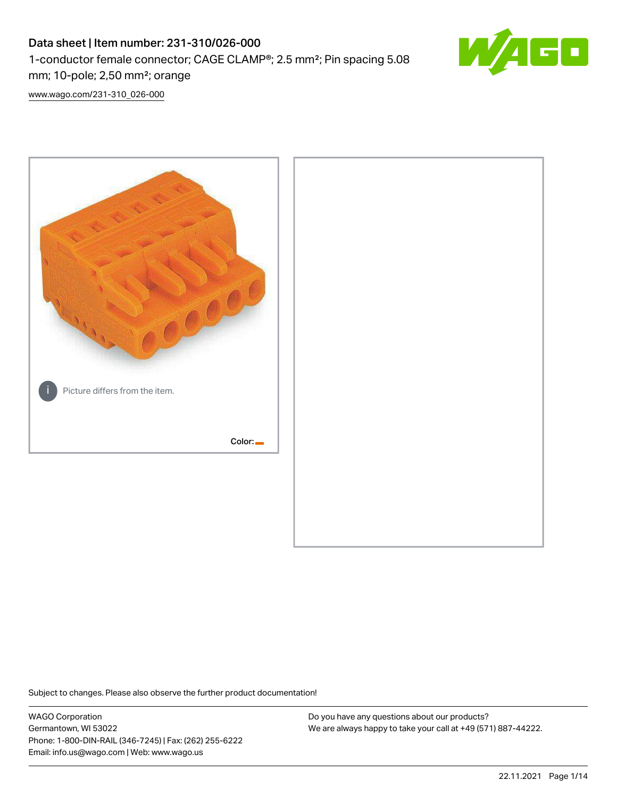# Data sheet | Item number: 231-310/026-000 1-conductor female connector; CAGE CLAMP®; 2.5 mm²; Pin spacing 5.08 mm; 10-pole; 2,50 mm²; orange



[www.wago.com/231-310\\_026-000](http://www.wago.com/231-310_026-000)



Subject to changes. Please also observe the further product documentation!

WAGO Corporation Germantown, WI 53022 Phone: 1-800-DIN-RAIL (346-7245) | Fax: (262) 255-6222 Email: info.us@wago.com | Web: www.wago.us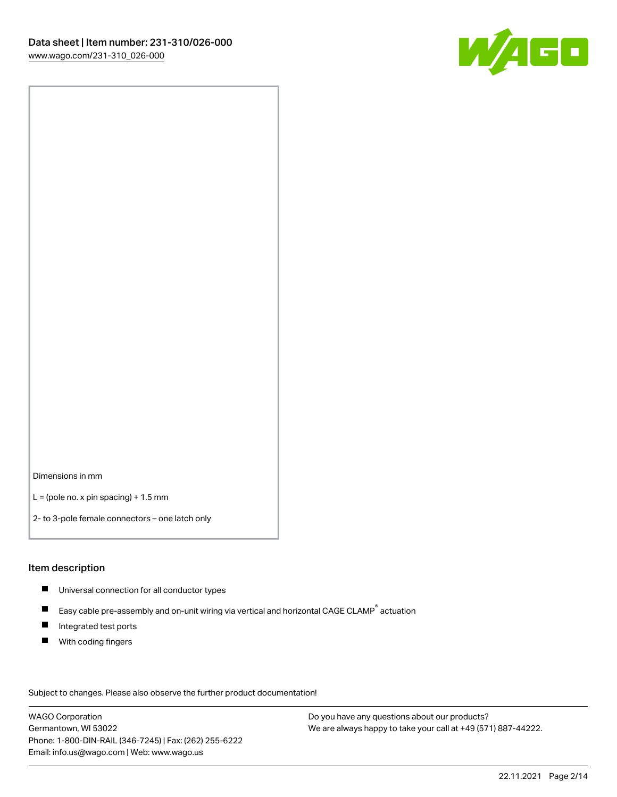

Dimensions in mm

 $L =$  (pole no. x pin spacing) + 1.5 mm

2- to 3-pole female connectors – one latch only

#### Item description

- **Universal connection for all conductor types**
- Easy cable pre-assembly and on-unit wiring via vertical and horizontal CAGE CLAMP<sup>®</sup> actuation  $\blacksquare$
- $\blacksquare$ Integrated test ports
- $\blacksquare$ With coding fingers

Subject to changes. Please also observe the further product documentation! Data

WAGO Corporation Germantown, WI 53022 Phone: 1-800-DIN-RAIL (346-7245) | Fax: (262) 255-6222 Email: info.us@wago.com | Web: www.wago.us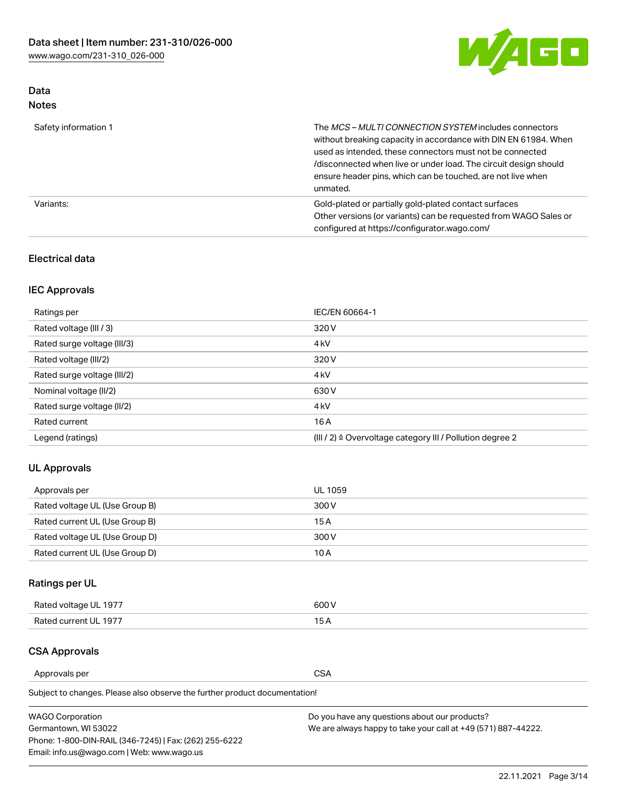

# Data Notes

| Safety information 1 | The MCS-MULTI CONNECTION SYSTEM includes connectors<br>without breaking capacity in accordance with DIN EN 61984. When<br>used as intended, these connectors must not be connected<br>/disconnected when live or under load. The circuit design should<br>ensure header pins, which can be touched, are not live when<br>unmated. |
|----------------------|-----------------------------------------------------------------------------------------------------------------------------------------------------------------------------------------------------------------------------------------------------------------------------------------------------------------------------------|
| Variants:            | Gold-plated or partially gold-plated contact surfaces<br>Other versions (or variants) can be requested from WAGO Sales or<br>configured at https://configurator.wago.com/                                                                                                                                                         |

### Electrical data

# IEC Approvals

| Ratings per                 | IEC/EN 60664-1                                                        |
|-----------------------------|-----------------------------------------------------------------------|
| Rated voltage (III / 3)     | 320 V                                                                 |
| Rated surge voltage (III/3) | 4 <sub>k</sub> V                                                      |
| Rated voltage (III/2)       | 320 V                                                                 |
| Rated surge voltage (III/2) | 4 <sub>k</sub> V                                                      |
| Nominal voltage (II/2)      | 630 V                                                                 |
| Rated surge voltage (II/2)  | 4 <sub>k</sub> V                                                      |
| Rated current               | 16 A                                                                  |
| Legend (ratings)            | $(III / 2)$ $\triangle$ Overvoltage category III / Pollution degree 2 |

# UL Approvals

| Approvals per                  | UL 1059 |
|--------------------------------|---------|
| Rated voltage UL (Use Group B) | 300 V   |
| Rated current UL (Use Group B) | 15 A    |
| Rated voltage UL (Use Group D) | 300 V   |
| Rated current UL (Use Group D) | 10 A    |

# Ratings per UL

| Rated voltage UL 1977 | 300 V |
|-----------------------|-------|
| Rated current UL 1977 |       |

### CSA Approvals

Approvals per CSA

Subject to changes. Please also observe the further product documentation!

| <b>WAGO Corporation</b>                                | Do you have any questions about our products?                 |
|--------------------------------------------------------|---------------------------------------------------------------|
| Germantown, WI 53022                                   | We are always happy to take your call at +49 (571) 887-44222. |
| Phone: 1-800-DIN-RAIL (346-7245)   Fax: (262) 255-6222 |                                                               |
| Email: info.us@wago.com   Web: www.wago.us             |                                                               |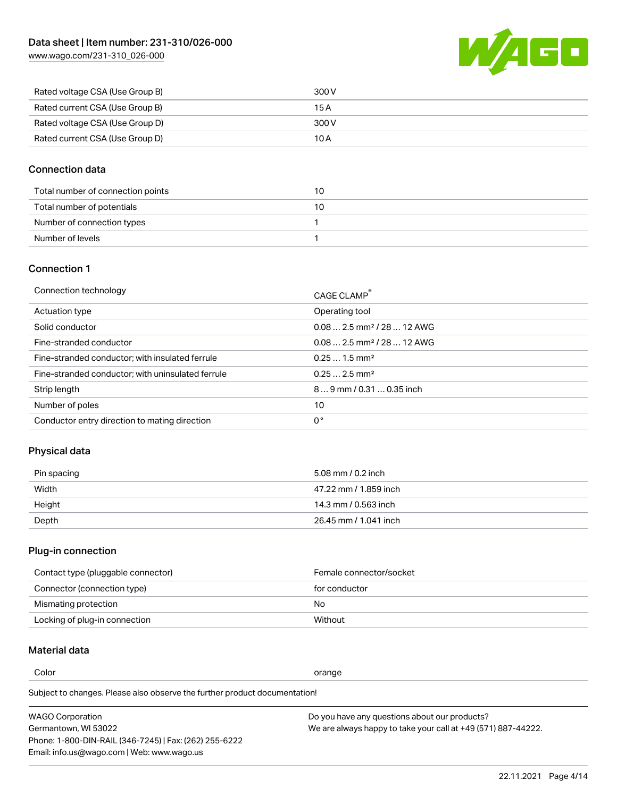[www.wago.com/231-310\\_026-000](http://www.wago.com/231-310_026-000)



| Rated voltage CSA (Use Group B) | 300 V |
|---------------------------------|-------|
| Rated current CSA (Use Group B) | 15 A  |
| Rated voltage CSA (Use Group D) | 300 V |
| Rated current CSA (Use Group D) | 10 A  |

### Connection data

| Total number of connection points | 10 |
|-----------------------------------|----|
| Total number of potentials        | 10 |
| Number of connection types        |    |
| Number of levels                  |    |

### Connection 1

| Connection technology                             | CAGE CLAMP®                             |
|---------------------------------------------------|-----------------------------------------|
| Actuation type                                    | Operating tool                          |
| Solid conductor                                   | $0.08$ 2.5 mm <sup>2</sup> / 28  12 AWG |
| Fine-stranded conductor                           | $0.082.5$ mm <sup>2</sup> / 28  12 AWG  |
| Fine-stranded conductor; with insulated ferrule   | $0.251.5$ mm <sup>2</sup>               |
| Fine-stranded conductor; with uninsulated ferrule | $0.252.5$ mm <sup>2</sup>               |
| Strip length                                      | $89$ mm / 0.31  0.35 inch               |
| Number of poles                                   | 10                                      |
| Conductor entry direction to mating direction     | 0°                                      |
|                                                   |                                         |

# Physical data

| Pin spacing | 5.08 mm / 0.2 inch    |
|-------------|-----------------------|
| Width       | 47.22 mm / 1.859 inch |
| Height      | 14.3 mm / 0.563 inch  |
| Depth       | 26.45 mm / 1.041 inch |

# Plug-in connection

| Contact type (pluggable connector) | Female connector/socket |
|------------------------------------|-------------------------|
| Connector (connection type)        | for conductor           |
| Mismating protection               | No.                     |
| Locking of plug-in connection      | Without                 |

# Material data

Color contracts and contracts of the contracts of the contracts of the contracts of the contracts of the contracts of the contracts of the contracts of the contracts of the contracts of the contracts of the contracts of th

Subject to changes. Please also observe the further product documentation! Material group I

| <b>WAGO Corporation</b>                                | Do you have any questions about our products?                 |
|--------------------------------------------------------|---------------------------------------------------------------|
| Germantown, WI 53022                                   | We are always happy to take your call at +49 (571) 887-44222. |
| Phone: 1-800-DIN-RAIL (346-7245)   Fax: (262) 255-6222 |                                                               |
| Email: info.us@wago.com   Web: www.wago.us             |                                                               |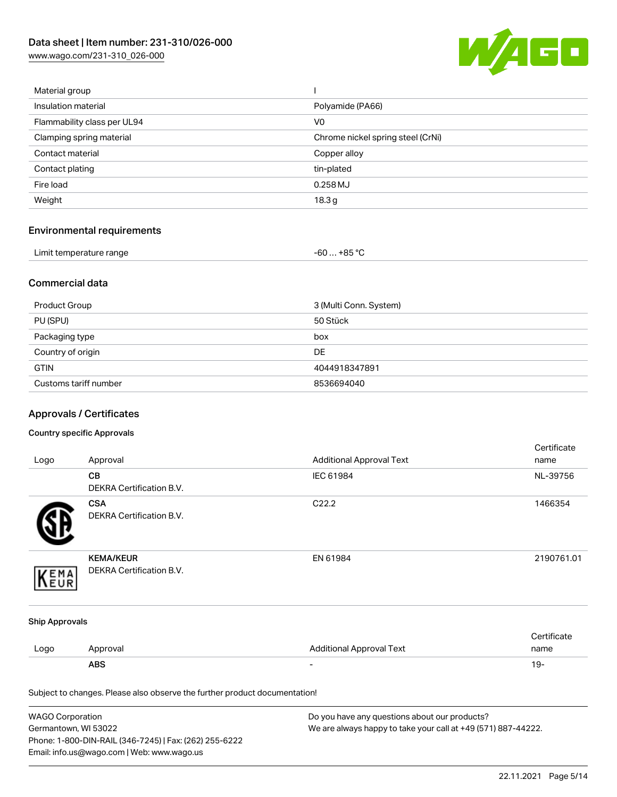[www.wago.com/231-310\\_026-000](http://www.wago.com/231-310_026-000)



| Material group              |                                   |
|-----------------------------|-----------------------------------|
| Insulation material         | Polyamide (PA66)                  |
| Flammability class per UL94 | V <sub>0</sub>                    |
| Clamping spring material    | Chrome nickel spring steel (CrNi) |
| Contact material            | Copper alloy                      |
| Contact plating             | tin-plated                        |
| Fire load                   | $0.258$ MJ                        |
| Weight                      | 18.3 <sub>g</sub>                 |
|                             |                                   |

# Environmental requirements

| Limit temperature range | $-60+85 °C$ |
|-------------------------|-------------|
|-------------------------|-------------|

### Commercial data

| Product Group         | 3 (Multi Conn. System) |
|-----------------------|------------------------|
| PU (SPU)              | 50 Stück               |
| Packaging type        | box                    |
| Country of origin     | <b>DE</b>              |
| <b>GTIN</b>           | 4044918347891          |
| Customs tariff number | 8536694040             |

# Approvals / Certificates

#### Country specific Approvals

| Logo                  | Approval                                                                   | <b>Additional Approval Text</b> | Certificate<br>name |
|-----------------------|----------------------------------------------------------------------------|---------------------------------|---------------------|
|                       | CВ<br>DEKRA Certification B.V.                                             | IEC 61984                       | NL-39756            |
|                       | <b>CSA</b><br><b>DEKRA Certification B.V.</b>                              | C22.2                           | 1466354             |
| EMA                   | <b>KEMA/KEUR</b><br>DEKRA Certification B.V.                               | EN 61984                        | 2190761.01          |
| <b>Ship Approvals</b> |                                                                            |                                 |                     |
| Logo                  | Approval                                                                   | <b>Additional Approval Text</b> | Certificate<br>name |
|                       | <b>ABS</b>                                                                 |                                 | $19 -$              |
|                       | Subject to changes. Please also observe the further product documentation! |                                 |                     |

| <b>WAGO Corporation</b>                                | Do you have any questions about our products?                 |
|--------------------------------------------------------|---------------------------------------------------------------|
| Germantown, WI 53022                                   | We are always happy to take your call at +49 (571) 887-44222. |
| Phone: 1-800-DIN-RAIL (346-7245)   Fax: (262) 255-6222 |                                                               |
| Email: info.us@wago.com   Web: www.wago.us             |                                                               |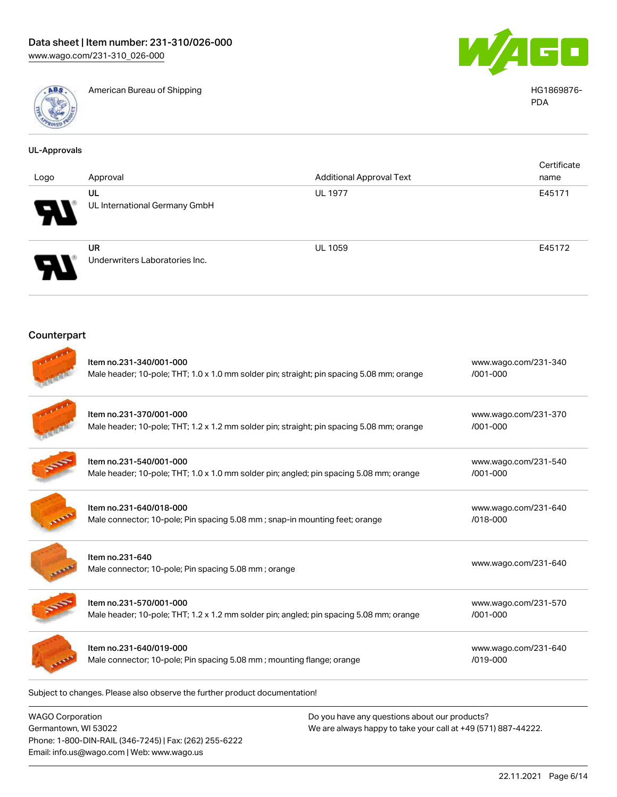

American Bureau of Shipping HG1869876-



PDA

| <b>UL-Approvals</b> |                                                                                                                      |                                 |                                  |
|---------------------|----------------------------------------------------------------------------------------------------------------------|---------------------------------|----------------------------------|
| Logo                | Approval                                                                                                             | <b>Additional Approval Text</b> | Certificate<br>name              |
|                     | UL<br>UL International Germany GmbH                                                                                  | <b>UL 1977</b>                  | E45171                           |
|                     | <b>UR</b><br>Underwriters Laboratories Inc.                                                                          | <b>UL 1059</b>                  | E45172                           |
| Counterpart         |                                                                                                                      |                                 |                                  |
|                     | Item no.231-340/001-000<br>Male header; 10-pole; THT; 1.0 x 1.0 mm solder pin; straight; pin spacing 5.08 mm; orange |                                 | www.wago.com/231-340<br>/001-000 |
|                     | Item no.231-370/001-000<br>Male header; 10-pole; THT; 1.2 x 1.2 mm solder pin; straight; pin spacing 5.08 mm; orange |                                 | www.wago.com/231-370<br>/001-000 |
|                     | Item no.231-540/001-000<br>Male header; 10-pole; THT; 1.0 x 1.0 mm solder pin; angled; pin spacing 5.08 mm; orange   |                                 | www.wago.com/231-540<br>/001-000 |
|                     | Item no.231-640/018-000<br>Male connector; 10-pole; Pin spacing 5.08 mm; snap-in mounting feet; orange               |                                 | www.wago.com/231-640<br>/018-000 |
|                     | Item no.231-640<br>Male connector; 10-pole; Pin spacing 5.08 mm; orange                                              |                                 | www.wago.com/231-640             |
|                     | Item no.231-570/001-000<br>Male header; 10-pole; THT; 1.2 x 1.2 mm solder pin; angled; pin spacing 5.08 mm; orange   |                                 | www.wago.com/231-570<br>/001-000 |
|                     | Item no.231-640/019-000<br>Male connector; 10-pole; Pin spacing 5.08 mm; mounting flange; orange                     |                                 | www.wago.com/231-640<br>/019-000 |

Subject to changes. Please also observe the further product documentation!

WAGO Corporation Germantown, WI 53022 Phone: 1-800-DIN-RAIL (346-7245) | Fax: (262) 255-6222 Email: info.us@wago.com | Web: www.wago.us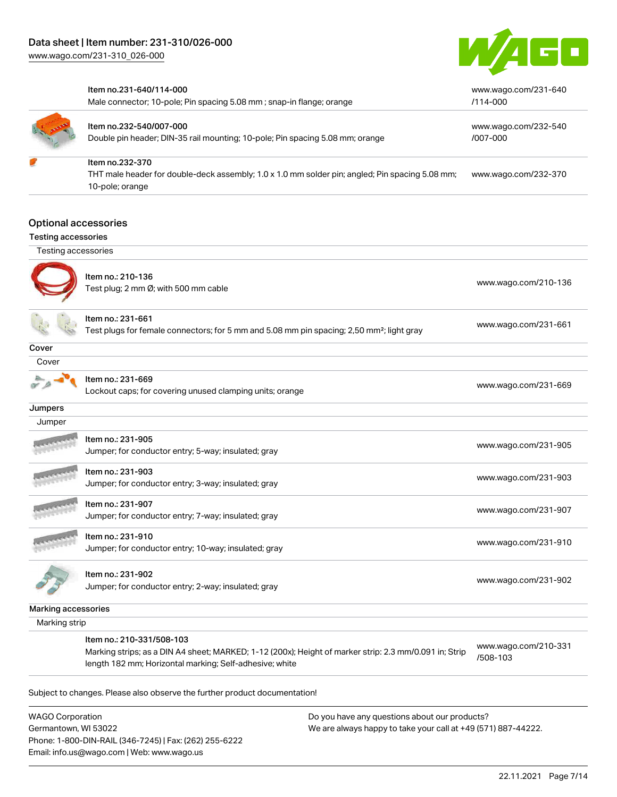

|                            | Item no.231-640/114-000<br>Male connector; 10-pole; Pin spacing 5.08 mm; snap-in flange; orange                                                                   | www.wago.com/231-640<br>/114-000 |
|----------------------------|-------------------------------------------------------------------------------------------------------------------------------------------------------------------|----------------------------------|
|                            | Item no.232-540/007-000<br>Double pin header; DIN-35 rail mounting; 10-pole; Pin spacing 5.08 mm; orange                                                          | www.wago.com/232-540<br>/007-000 |
|                            | Item no.232-370                                                                                                                                                   |                                  |
|                            | THT male header for double-deck assembly; 1.0 x 1.0 mm solder pin; angled; Pin spacing 5.08 mm;<br>10-pole; orange                                                | www.wago.com/232-370             |
|                            | <b>Optional accessories</b>                                                                                                                                       |                                  |
| <b>Testing accessories</b> |                                                                                                                                                                   |                                  |
| Testing accessories        |                                                                                                                                                                   |                                  |
|                            | Item no.: 210-136                                                                                                                                                 |                                  |
|                            | Test plug; 2 mm Ø; with 500 mm cable                                                                                                                              | www.wago.com/210-136             |
|                            | ltem no.: 231-661<br>Test plugs for female connectors; for 5 mm and 5.08 mm pin spacing; 2,50 mm <sup>2</sup> ; light gray                                        | www.wago.com/231-661             |
|                            |                                                                                                                                                                   |                                  |
| Cover<br>Cover             |                                                                                                                                                                   |                                  |
|                            |                                                                                                                                                                   |                                  |
|                            | Item no.: 231-669<br>Lockout caps; for covering unused clamping units; orange                                                                                     | www.wago.com/231-669             |
| Jumpers                    |                                                                                                                                                                   |                                  |
| Jumper                     |                                                                                                                                                                   |                                  |
|                            | Item no.: 231-905<br>Jumper; for conductor entry; 5-way; insulated; gray                                                                                          | www.wago.com/231-905             |
|                            | Item no.: 231-903                                                                                                                                                 | www.wago.com/231-903             |
|                            | Jumper; for conductor entry; 3-way; insulated; gray                                                                                                               |                                  |
|                            | Item no.: 231-907<br>Jumper; for conductor entry; 7-way; insulated; gray                                                                                          | www.wago.com/231-907             |
|                            | Item no.: 231-910                                                                                                                                                 |                                  |
|                            | Jumper; for conductor entry; 10-way; insulated; gray                                                                                                              | www.wago.com/231-910             |
|                            | Item no.: 231-902                                                                                                                                                 |                                  |
|                            | Jumper; for conductor entry; 2-way; insulated; gray                                                                                                               | www.wago.com/231-902             |
| Marking accessories        |                                                                                                                                                                   |                                  |
| Marking strip              |                                                                                                                                                                   |                                  |
|                            | Item no.: 210-331/508-103                                                                                                                                         |                                  |
|                            | Marking strips; as a DIN A4 sheet; MARKED; 1-12 (200x); Height of marker strip: 2.3 mm/0.091 in; Strip<br>length 182 mm; Horizontal marking; Self-adhesive; white | www.wago.com/210-331<br>/508-103 |

Subject to changes. Please also observe the further product documentation!

WAGO Corporation Germantown, WI 53022 Phone: 1-800-DIN-RAIL (346-7245) | Fax: (262) 255-6222 Email: info.us@wago.com | Web: www.wago.us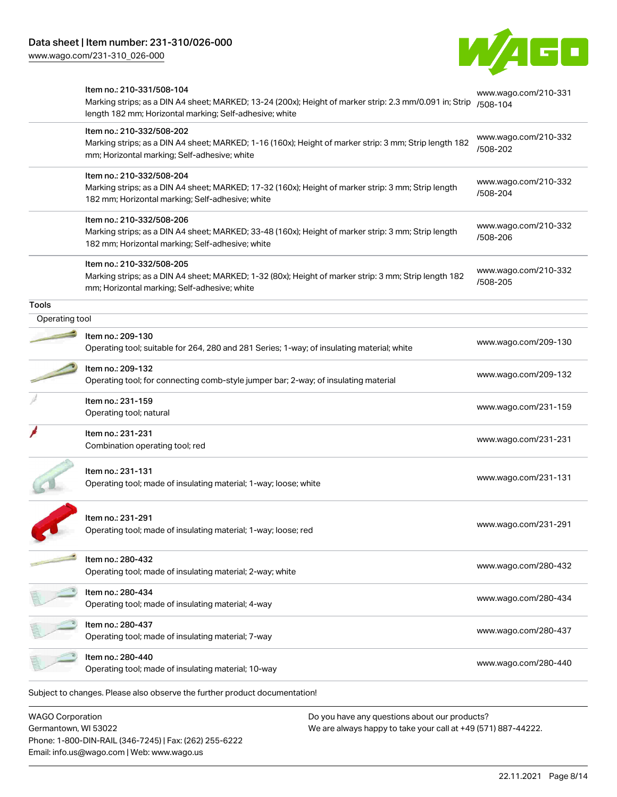



|                         | Item no.: 210-331/508-104<br>Marking strips; as a DIN A4 sheet; MARKED; 13-24 (200x); Height of marker strip: 2.3 mm/0.091 in; Strip<br>length 182 mm; Horizontal marking; Self-adhesive; white | www.wago.com/210-331<br>/508-104 |
|-------------------------|-------------------------------------------------------------------------------------------------------------------------------------------------------------------------------------------------|----------------------------------|
|                         | Item no.: 210-332/508-202<br>Marking strips; as a DIN A4 sheet; MARKED; 1-16 (160x); Height of marker strip: 3 mm; Strip length 182<br>mm; Horizontal marking; Self-adhesive; white             | www.wago.com/210-332<br>/508-202 |
|                         | Item no.: 210-332/508-204<br>Marking strips; as a DIN A4 sheet; MARKED; 17-32 (160x); Height of marker strip: 3 mm; Strip length<br>182 mm; Horizontal marking; Self-adhesive; white            | www.wago.com/210-332<br>/508-204 |
|                         | Item no.: 210-332/508-206<br>Marking strips; as a DIN A4 sheet; MARKED; 33-48 (160x); Height of marker strip: 3 mm; Strip length<br>182 mm; Horizontal marking; Self-adhesive; white            | www.wago.com/210-332<br>/508-206 |
|                         | Item no.: 210-332/508-205<br>Marking strips; as a DIN A4 sheet; MARKED; 1-32 (80x); Height of marker strip: 3 mm; Strip length 182<br>mm; Horizontal marking; Self-adhesive; white              | www.wago.com/210-332<br>/508-205 |
| <b>Tools</b>            |                                                                                                                                                                                                 |                                  |
| Operating tool          |                                                                                                                                                                                                 |                                  |
|                         | Item no.: 209-130<br>Operating tool; suitable for 264, 280 and 281 Series; 1-way; of insulating material; white                                                                                 | www.wago.com/209-130             |
|                         | Item no.: 209-132<br>Operating tool; for connecting comb-style jumper bar; 2-way; of insulating material                                                                                        | www.wago.com/209-132             |
|                         | Item no.: 231-159<br>Operating tool; natural                                                                                                                                                    | www.wago.com/231-159             |
|                         | Item no.: 231-231<br>Combination operating tool; red                                                                                                                                            | www.wago.com/231-231             |
|                         | Item no.: 231-131<br>Operating tool; made of insulating material; 1-way; loose; white                                                                                                           | www.wago.com/231-131             |
|                         | Item no.: 231-291<br>Operating tool; made of insulating material; 1-way; loose; red                                                                                                             | www.wago.com/231-291             |
|                         | Item no.: 280-432<br>Operating tool; made of insulating material; 2-way; white                                                                                                                  | www.wago.com/280-432             |
|                         | Item no.: 280-434<br>Operating tool; made of insulating material; 4-way                                                                                                                         | www.wago.com/280-434             |
|                         | Item no.: 280-437<br>Operating tool; made of insulating material; 7-way                                                                                                                         | www.wago.com/280-437             |
|                         | Item no.: 280-440<br>Operating tool; made of insulating material; 10-way                                                                                                                        | www.wago.com/280-440             |
|                         | Subject to changes. Please also observe the further product documentation!                                                                                                                      |                                  |
| <b>WAGO Corporation</b> | Do you have any questions about our products?                                                                                                                                                   |                                  |
|                         |                                                                                                                                                                                                 |                                  |

Germantown, WI 53022 Phone: 1-800-DIN-RAIL (346-7245) | Fax: (262) 255-6222 Email: info.us@wago.com | Web: www.wago.us

We are always happy to take your call at +49 (571) 887-44222.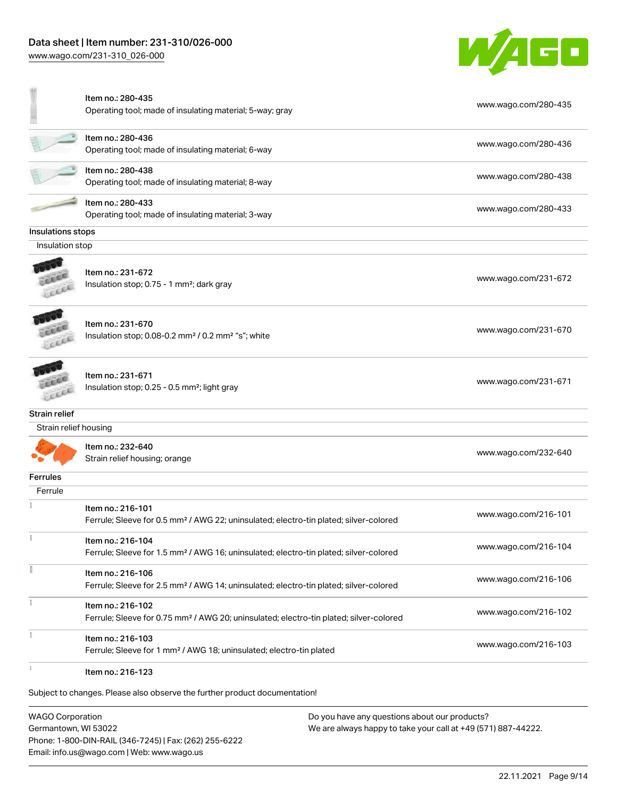[www.wago.com/231-310\\_026-000](http://www.wago.com/231-310_026-000)



|                       | Item no.: 280-435<br>Operating tool; made of insulating material; 5-way; gray                                           | www.wago.com/280-435 |
|-----------------------|-------------------------------------------------------------------------------------------------------------------------|----------------------|
|                       | Item no.: 280-436<br>Operating tool; made of insulating material; 6-way                                                 | www.wago.com/280-436 |
|                       | Item no.: 280-438<br>Operating tool; made of insulating material; 8-way                                                 | www.wago.com/280-438 |
|                       | Item no.: 280-433<br>Operating tool; made of insulating material; 3-way                                                 | www.wago.com/280-433 |
| Insulations stops     |                                                                                                                         |                      |
| Insulation stop       |                                                                                                                         |                      |
|                       | Item no.: 231-672<br>Insulation stop; 0.75 - 1 mm <sup>2</sup> ; dark gray                                              | www.wago.com/231-672 |
|                       | Item no.: 231-670<br>Insulation stop; 0.08-0.2 mm <sup>2</sup> / 0.2 mm <sup>2</sup> "s"; white                         | www.wago.com/231-670 |
|                       | Item no.: 231-671<br>Insulation stop; 0.25 - 0.5 mm <sup>2</sup> ; light gray                                           | www.wago.com/231-671 |
| Strain relief         |                                                                                                                         |                      |
| Strain relief housing |                                                                                                                         |                      |
|                       | Item no.: 232-640<br>Strain relief housing; orange                                                                      | www.wago.com/232-640 |
| <b>Ferrules</b>       |                                                                                                                         |                      |
| Ferrule               |                                                                                                                         |                      |
|                       | Item no.: 216-101<br>Ferrule; Sleeve for 0.5 mm <sup>2</sup> / AWG 22; uninsulated; electro-tin plated; silver-colored  | www.wago.com/216-101 |
| ĩ                     | Item no.: 216-104<br>Ferrule; Sleeve for 1.5 mm <sup>2</sup> / AWG 16; uninsulated; electro-tin plated; silver-colored  | www.wago.com/216-104 |
|                       | Item no.: 216-106<br>Ferrule; Sleeve for 2.5 mm <sup>2</sup> / AWG 14; uninsulated; electro-tin plated; silver-colored  | www.wago.com/216-106 |
|                       | Item no.: 216-102<br>Ferrule; Sleeve for 0.75 mm <sup>2</sup> / AWG 20; uninsulated; electro-tin plated; silver-colored | www.wago.com/216-102 |
| Ť.                    | Item no.: 216-103<br>Ferrule; Sleeve for 1 mm <sup>2</sup> / AWG 18; uninsulated; electro-tin plated                    | www.wago.com/216-103 |
|                       | Item no.: 216-123                                                                                                       |                      |
|                       | Subject to changes. Please also observe the further product documentation!                                              |                      |

WAGO Corporation Germantown, WI 53022 Phone: 1-800-DIN-RAIL (346-7245) | Fax: (262) 255-6222 Email: info.us@wago.com | Web: www.wago.us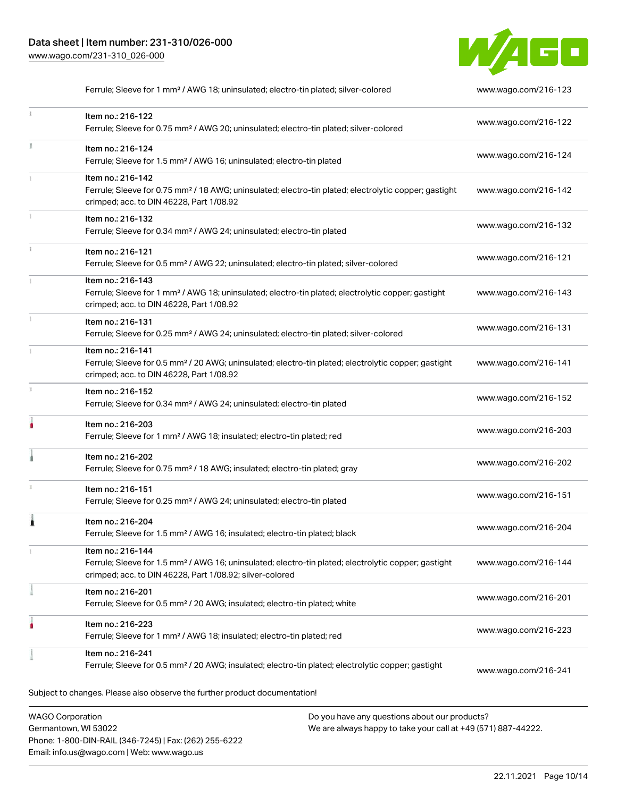Germantown, WI 53022

Phone: 1-800-DIN-RAIL (346-7245) | Fax: (262) 255-6222

Email: info.us@wago.com | Web: www.wago.us



Ferrule; Sleeve for 1 mm² / AWG 18; uninsulated; electro-tin plated; silver-colored [www.wago.com/216-123](http://www.wago.com/216-123)

| ž. | Item no.: 216-122<br>Ferrule; Sleeve for 0.75 mm <sup>2</sup> / AWG 20; uninsulated; electro-tin plated; silver-colored                                                                           | www.wago.com/216-122 |
|----|---------------------------------------------------------------------------------------------------------------------------------------------------------------------------------------------------|----------------------|
| ă. | Item no.: 216-124<br>Ferrule; Sleeve for 1.5 mm <sup>2</sup> / AWG 16; uninsulated; electro-tin plated                                                                                            | www.wago.com/216-124 |
|    | Item no.: 216-142<br>Ferrule; Sleeve for 0.75 mm <sup>2</sup> / 18 AWG; uninsulated; electro-tin plated; electrolytic copper; gastight<br>crimped; acc. to DIN 46228, Part 1/08.92                | www.wago.com/216-142 |
|    | Item no.: 216-132<br>Ferrule; Sleeve for 0.34 mm <sup>2</sup> / AWG 24; uninsulated; electro-tin plated                                                                                           | www.wago.com/216-132 |
| ī. | Item no.: 216-121<br>Ferrule; Sleeve for 0.5 mm <sup>2</sup> / AWG 22; uninsulated; electro-tin plated; silver-colored                                                                            | www.wago.com/216-121 |
|    | Item no.: 216-143<br>Ferrule; Sleeve for 1 mm <sup>2</sup> / AWG 18; uninsulated; electro-tin plated; electrolytic copper; gastight<br>crimped; acc. to DIN 46228, Part 1/08.92                   | www.wago.com/216-143 |
|    | Item no.: 216-131<br>Ferrule; Sleeve for 0.25 mm <sup>2</sup> / AWG 24; uninsulated; electro-tin plated; silver-colored                                                                           | www.wago.com/216-131 |
|    | Item no.: 216-141<br>Ferrule; Sleeve for 0.5 mm <sup>2</sup> / 20 AWG; uninsulated; electro-tin plated; electrolytic copper; gastight<br>crimped; acc. to DIN 46228, Part 1/08.92                 | www.wago.com/216-141 |
| s. | Item no.: 216-152<br>Ferrule; Sleeve for 0.34 mm <sup>2</sup> / AWG 24; uninsulated; electro-tin plated                                                                                           | www.wago.com/216-152 |
| h  | Item no.: 216-203<br>Ferrule; Sleeve for 1 mm <sup>2</sup> / AWG 18; insulated; electro-tin plated; red                                                                                           | www.wago.com/216-203 |
|    | Item no.: 216-202<br>Ferrule; Sleeve for 0.75 mm <sup>2</sup> / 18 AWG; insulated; electro-tin plated; gray                                                                                       | www.wago.com/216-202 |
|    | Item no.: 216-151<br>Ferrule; Sleeve for 0.25 mm <sup>2</sup> / AWG 24; uninsulated; electro-tin plated                                                                                           | www.wago.com/216-151 |
| 1  | Item no.: 216-204<br>Ferrule; Sleeve for 1.5 mm <sup>2</sup> / AWG 16; insulated; electro-tin plated; black                                                                                       | www.wago.com/216-204 |
|    | Item no.: 216-144<br>Ferrule; Sleeve for 1.5 mm <sup>2</sup> / AWG 16; uninsulated; electro-tin plated; electrolytic copper; gastight<br>crimped; acc. to DIN 46228, Part 1/08.92; silver-colored | www.wago.com/216-144 |
|    | Item no.: 216-201<br>Ferrule; Sleeve for 0.5 mm <sup>2</sup> / 20 AWG; insulated; electro-tin plated; white                                                                                       | www.wago.com/216-201 |
| ٠  | Item no.: 216-223<br>Ferrule; Sleeve for 1 mm <sup>2</sup> / AWG 18; insulated; electro-tin plated; red                                                                                           | www.wago.com/216-223 |
|    | Item no.: 216-241<br>Ferrule; Sleeve for 0.5 mm <sup>2</sup> / 20 AWG; insulated; electro-tin plated; electrolytic copper; gastight                                                               | www.wago.com/216-241 |
|    | Subject to changes. Please also observe the further product documentation!                                                                                                                        |                      |
|    | <b>WAGO Corporation</b><br>Do you have any questions about our products?                                                                                                                          |                      |

We are always happy to take your call at +49 (571) 887-44222.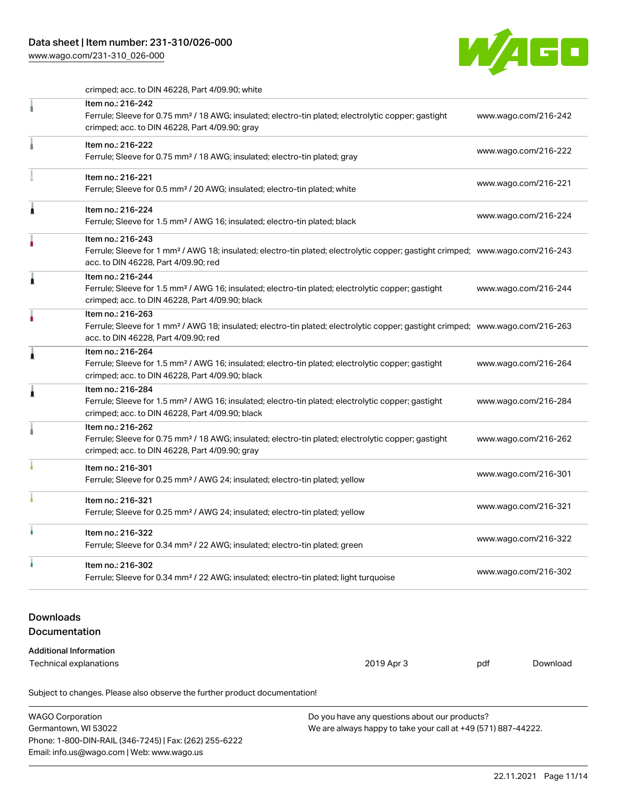# Data sheet | Item number: 231-310/026-000

[www.wago.com/231-310\\_026-000](http://www.wago.com/231-310_026-000)



crimped; acc. to DIN 46228, Part 4/09.90; white

|                                   | Subject to changes. Please also observe the further product documentation!                                                                                                                              |            |                      |                      |  |
|-----------------------------------|---------------------------------------------------------------------------------------------------------------------------------------------------------------------------------------------------------|------------|----------------------|----------------------|--|
|                                   | <b>Additional Information</b><br>Technical explanations                                                                                                                                                 | 2019 Apr 3 | pdf                  | Download             |  |
| <b>Downloads</b><br>Documentation |                                                                                                                                                                                                         |            |                      |                      |  |
| ı                                 | Item no.: 216-302<br>Ferrule; Sleeve for 0.34 mm <sup>2</sup> / 22 AWG; insulated; electro-tin plated; light turquoise                                                                                  |            |                      | www.wago.com/216-302 |  |
|                                   | Item no.: 216-322<br>Ferrule; Sleeve for 0.34 mm <sup>2</sup> / 22 AWG; insulated; electro-tin plated; green                                                                                            |            |                      | www.wago.com/216-322 |  |
|                                   | Item no.: 216-321<br>Ferrule; Sleeve for 0.25 mm <sup>2</sup> / AWG 24; insulated; electro-tin plated; yellow                                                                                           |            |                      | www.wago.com/216-321 |  |
|                                   | Item no.: 216-301<br>Ferrule; Sleeve for 0.25 mm <sup>2</sup> / AWG 24; insulated; electro-tin plated; yellow                                                                                           |            |                      | www.wago.com/216-301 |  |
|                                   | Item no.: 216-262<br>Ferrule; Sleeve for 0.75 mm <sup>2</sup> / 18 AWG; insulated; electro-tin plated; electrolytic copper; gastight<br>crimped; acc. to DIN 46228, Part 4/09.90; gray                  |            |                      | www.wago.com/216-262 |  |
| £                                 | Item no.: 216-284<br>Ferrule; Sleeve for 1.5 mm <sup>2</sup> / AWG 16; insulated; electro-tin plated; electrolytic copper; gastight<br>crimped; acc. to DIN 46228, Part 4/09.90; black                  |            | www.wago.com/216-284 |                      |  |
| 1                                 | Item no.: 216-264<br>Ferrule; Sleeve for 1.5 mm <sup>2</sup> / AWG 16; insulated; electro-tin plated; electrolytic copper; gastight<br>crimped; acc. to DIN 46228, Part 4/09.90; black                  |            | www.wago.com/216-264 |                      |  |
|                                   | Item no.: 216-263<br>Ferrule; Sleeve for 1 mm <sup>2</sup> / AWG 18; insulated; electro-tin plated; electrolytic copper; gastight crimped; www.wago.com/216-263<br>acc. to DIN 46228, Part 4/09.90; red |            |                      |                      |  |
| Â                                 | Item no.: 216-244<br>Ferrule; Sleeve for 1.5 mm <sup>2</sup> / AWG 16; insulated; electro-tin plated; electrolytic copper; gastight<br>crimped; acc. to DIN 46228, Part 4/09.90; black                  |            |                      | www.wago.com/216-244 |  |
| ٥                                 | Item no.: 216-243<br>Ferrule; Sleeve for 1 mm <sup>2</sup> / AWG 18; insulated; electro-tin plated; electrolytic copper; gastight crimped; www.wago.com/216-243<br>acc. to DIN 46228, Part 4/09.90; red |            |                      |                      |  |
| 1                                 | Item no.: 216-224<br>Ferrule; Sleeve for 1.5 mm <sup>2</sup> / AWG 16; insulated; electro-tin plated; black                                                                                             |            |                      | www.wago.com/216-224 |  |
|                                   | Item no.: 216-221<br>Ferrule; Sleeve for 0.5 mm <sup>2</sup> / 20 AWG; insulated; electro-tin plated; white                                                                                             |            |                      | www.wago.com/216-221 |  |
|                                   | Item no.: 216-222<br>Ferrule; Sleeve for 0.75 mm <sup>2</sup> / 18 AWG; insulated; electro-tin plated; gray                                                                                             |            |                      | www.wago.com/216-222 |  |
|                                   | Item no.: 216-242<br>Ferrule; Sleeve for 0.75 mm <sup>2</sup> / 18 AWG; insulated; electro-tin plated; electrolytic copper; gastight<br>crimped; acc. to DIN 46228, Part 4/09.90; gray                  |            |                      | www.wago.com/216-242 |  |

WAGO Corporation Germantown, WI 53022 Phone: 1-800-DIN-RAIL (346-7245) | Fax: (262) 255-6222 Email: info.us@wago.com | Web: www.wago.us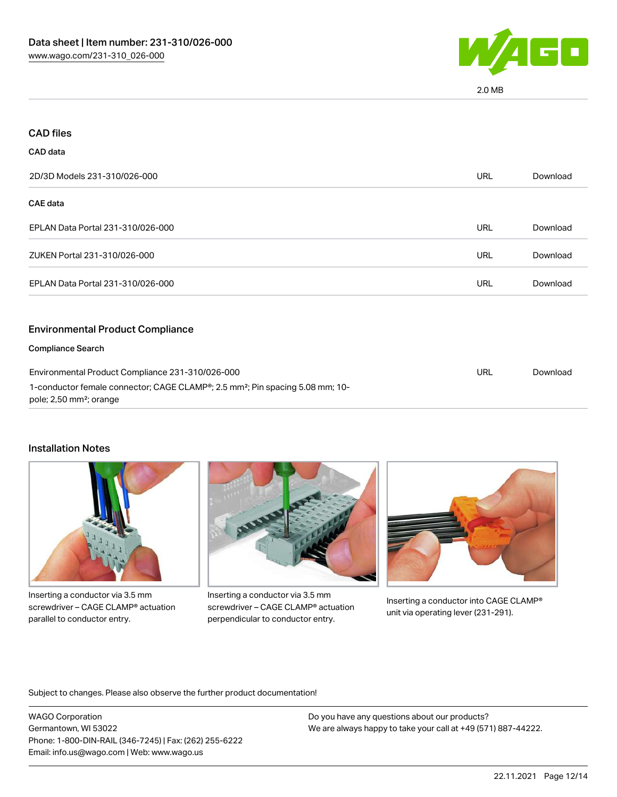

| <b>CAD files</b>                                                                                                                                                                     |            |          |
|--------------------------------------------------------------------------------------------------------------------------------------------------------------------------------------|------------|----------|
| <b>CAD</b> data                                                                                                                                                                      |            |          |
| 2D/3D Models 231-310/026-000                                                                                                                                                         | <b>URL</b> | Download |
| CAE data                                                                                                                                                                             |            |          |
| EPLAN Data Portal 231-310/026-000                                                                                                                                                    | <b>URL</b> | Download |
| ZUKEN Portal 231-310/026-000                                                                                                                                                         | <b>URL</b> | Download |
| EPLAN Data Portal 231-310/026-000                                                                                                                                                    | <b>URL</b> | Download |
| <b>Environmental Product Compliance</b>                                                                                                                                              |            |          |
| <b>Compliance Search</b>                                                                                                                                                             |            |          |
| Environmental Product Compliance 231-310/026-000<br>1-conductor female connector; CAGE CLAMP®; 2.5 mm <sup>2</sup> ; Pin spacing 5.08 mm; 10-<br>pole; 2,50 mm <sup>2</sup> ; orange | <b>URL</b> | Download |

#### Installation Notes



Inserting a conductor via 3.5 mm screwdriver – CAGE CLAMP® actuation parallel to conductor entry.



Inserting a conductor via 3.5 mm screwdriver – CAGE CLAMP® actuation perpendicular to conductor entry.



Inserting a conductor into CAGE CLAMP® unit via operating lever (231-291).

Subject to changes. Please also observe the further product documentation!

WAGO Corporation Germantown, WI 53022 Phone: 1-800-DIN-RAIL (346-7245) | Fax: (262) 255-6222 Email: info.us@wago.com | Web: www.wago.us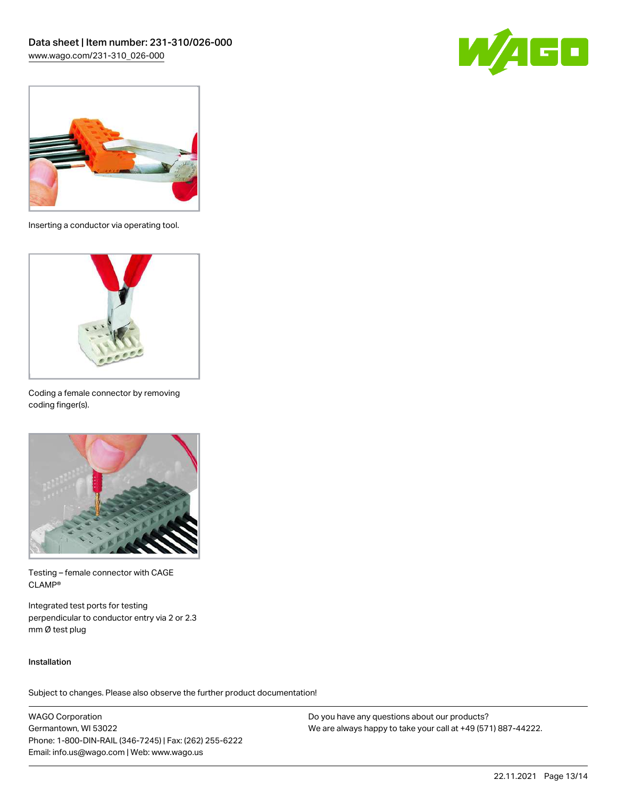



Inserting a conductor via operating tool.



Coding a female connector by removing coding finger(s).



Testing – female connector with CAGE CLAMP®

Integrated test ports for testing perpendicular to conductor entry via 2 or 2.3 mm Ø test plug

#### Installation

Subject to changes. Please also observe the further product documentation!

WAGO Corporation Germantown, WI 53022 Phone: 1-800-DIN-RAIL (346-7245) | Fax: (262) 255-6222 Email: info.us@wago.com | Web: www.wago.us